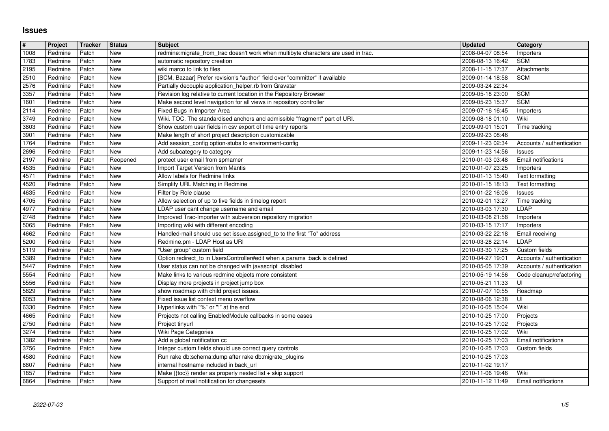## **Issues**

| #            | Project            | Tracker        | <b>Status</b>            | <b>Subject</b>                                                                                                                            | <b>Updated</b>                       | <b>Category</b>                            |
|--------------|--------------------|----------------|--------------------------|-------------------------------------------------------------------------------------------------------------------------------------------|--------------------------------------|--------------------------------------------|
| 1008<br>1783 | Redmine<br>Redmine | Patch<br>Patch | New<br><b>New</b>        | redmine:migrate_from_trac doesn't work when multibyte characters are used in trac.<br>automatic repository creation                       | 2008-04-07 08:54<br>2008-08-13 16:42 | Importers<br><b>SCM</b>                    |
| 2195         | Redmine            | Patch          | New                      | wiki marco to link to files                                                                                                               | 2008-11-15 17:37                     | Attachments                                |
| 2510         | Redmine            | Patch          | New                      | [SCM, Bazaar] Prefer revision's "author" field over "committer" if available                                                              | 2009-01-14 18:58                     | <b>SCM</b>                                 |
| 2576<br>3357 | Redmine<br>Redmine | Patch<br>Patch | <b>New</b><br><b>New</b> | Partially decouple application_helper.rb from Gravatar<br>Revision log relative to current location in the Repository Browser             | 2009-03-24 22:34<br>2009-05-18 23:00 | <b>SCM</b>                                 |
| 1601         | Redmine            | Patch          | New                      | Make second level navigation for all views in repository controller                                                                       | 2009-05-23 15:37                     | <b>SCM</b>                                 |
| 2114         | Redmine            | Patch          | New                      | Fixed Bugs in Importer Area                                                                                                               | 2009-07-16 16:45                     | Importers                                  |
| 3749<br>3803 | Redmine<br>Redmine | Patch<br>Patch | New<br><b>New</b>        | Wiki. TOC. The standardised anchors and admissible "fragment" part of URI.<br>Show custom user fields in csv export of time entry reports | 2009-08-18 01:10<br>2009-09-01 15:01 | Wiki<br>Time tracking                      |
| 3901         | Redmine            | Patch          | <b>New</b>               | Make length of short project description customizable                                                                                     | 2009-09-23 08:46                     |                                            |
| 1764         | Redmine            | Patch          | New                      | Add session_config option-stubs to environment-config                                                                                     | 2009-11-23 02:34                     | Accounts / authentication                  |
| 2696<br>2197 | Redmine<br>Redmine | Patch<br>Patch | New<br>Reopened          | Add subcategory to category<br>protect user email from spmamer                                                                            | 2009-11-23 14:56<br>2010-01-03 03:48 | Issues<br>Email notifications              |
| 4535         | Redmine            | Patch          | <b>New</b>               | Import Target Version from Mantis                                                                                                         | 2010-01-07 23:25                     | Importers                                  |
| 4571         | Redmine            | Patch          | <b>New</b>               | Allow labels for Redmine links                                                                                                            | 2010-01-13 15:40                     | Text formatting                            |
| 4520<br>4635 | Redmine<br>Redmine | Patch<br>Patch | New<br>New               | Simplify URL Matching in Redmine<br>Filter by Role clause                                                                                 | 2010-01-15 18:13<br>2010-01-22 16:06 | Text formatting<br>Issues                  |
| 4705         | Redmine            | Patch          | <b>New</b>               | Allow selection of up to five fields in timelog report                                                                                    | 2010-02-01 13:27                     | Time tracking                              |
| 4977         | Redmine            | Patch          | New                      | LDAP user cant change username and email                                                                                                  | 2010-03-03 17:30                     | LDAP                                       |
| 2748<br>5065 | Redmine<br>Redmine | Patch<br>Patch | New<br>New               | Improved Trac-Importer with subversion repository migration<br>Importing wiki with different encoding                                     | 2010-03-08 21:58<br>2010-03-15 17:17 | Importers<br>Importers                     |
| 4662         | Redmine            | Patch          | <b>New</b>               | Handled-mail should use set issue.assigned_to to the first "To" address                                                                   | 2010-03-22 22:18                     | Email receiving                            |
| 5200         | Redmine            | Patch          | <b>New</b>               | Redmine.pm - LDAP Host as URI                                                                                                             | 2010-03-28 22:14                     | LDAP                                       |
| 5119<br>5389 | Redmine<br>Redmine | Patch<br>Patch | New<br>New               | "User group" custom field<br>Option redirect_to in UsersController#edit when a params :back is defined                                    | 2010-03-30 17:25<br>2010-04-27 19:01 | Custom fields<br>Accounts / authentication |
| 5447         | Redmine            | Patch          | New                      | User status can not be changed with javascript disabled                                                                                   | 2010-05-05 17:39                     | Accounts / authentication                  |
| 5554         | Redmine            | Patch          | <b>New</b>               | Make links to various redmine objects more consistent                                                                                     | 2010-05-19 14:56                     | Code cleanup/refactoring                   |
| 5556<br>5829 | Redmine<br>Redmine | Patch<br>Patch | New<br><b>New</b>        | Display more projects in project jump box<br>show roadmap with child project issues.                                                      | 2010-05-21 11:33<br>2010-07-07 10:55 | l UI                                       |
| 6053         | Redmine            | Patch          | New                      | Fixed issue list context menu overflow                                                                                                    | 2010-08-06 12:38                     | Roadmap<br>ΙUΙ                             |
| 6330         | Redmine            | Patch          | <b>New</b>               | Hyperlinks with "%" or "!" at the end                                                                                                     | 2010-10-05 15:04                     | Wiki                                       |
| 4665         | Redmine            | Patch          | <b>New</b>               | Projects not calling EnabledModule callbacks in some cases                                                                                | 2010-10-25 17:00                     | Projects                                   |
| 2750<br>3274 | Redmine<br>Redmine | Patch<br>Patch | <b>New</b><br>New        | Project tinyurl<br>Wiki Page Categories                                                                                                   | 2010-10-25 17:02<br>2010-10-25 17:02 | Projects<br>Wiki                           |
| 1382         | Redmine            | Patch          | New                      | Add a global notification cc                                                                                                              | 2010-10-25 17:03                     | Email notifications                        |
| 3756         | Redmine            | Patch          | New                      | Integer custom fields should use correct query controls                                                                                   | 2010-10-25 17:03                     | Custom fields                              |
| 4580<br>6807 | Redmine<br>Redmine | Patch<br>Patch | New<br>New               | Run rake db:schema:dump after rake db:migrate_plugins<br>internal hostname included in back_url                                           | 2010-10-25 17:03<br>2010-11-02 19:17 |                                            |
| 1857         | Redmine            | Patch          | <b>New</b>               | Make $\{\text{toc}\}\$ render as properly nested list + skip support                                                                      | 2010-11-06 19:46                     | Wiki                                       |
| 6864         | Redmine            | Patch          | New                      | Support of mail notification for changesets                                                                                               | 2010-11-12 11:49                     | <b>Email notifications</b>                 |
|              |                    |                |                          |                                                                                                                                           |                                      |                                            |
|              |                    |                |                          |                                                                                                                                           |                                      |                                            |
|              |                    |                |                          |                                                                                                                                           |                                      |                                            |
|              |                    |                |                          |                                                                                                                                           |                                      |                                            |
|              |                    |                |                          |                                                                                                                                           |                                      |                                            |
|              |                    |                |                          |                                                                                                                                           |                                      |                                            |
|              |                    |                |                          |                                                                                                                                           |                                      |                                            |
|              |                    |                |                          |                                                                                                                                           |                                      |                                            |
|              |                    |                |                          |                                                                                                                                           |                                      |                                            |
|              |                    |                |                          |                                                                                                                                           |                                      |                                            |
|              |                    |                |                          |                                                                                                                                           |                                      |                                            |
|              |                    |                |                          |                                                                                                                                           |                                      |                                            |
|              |                    |                |                          |                                                                                                                                           |                                      |                                            |
|              |                    |                |                          |                                                                                                                                           |                                      |                                            |
|              |                    |                |                          |                                                                                                                                           |                                      |                                            |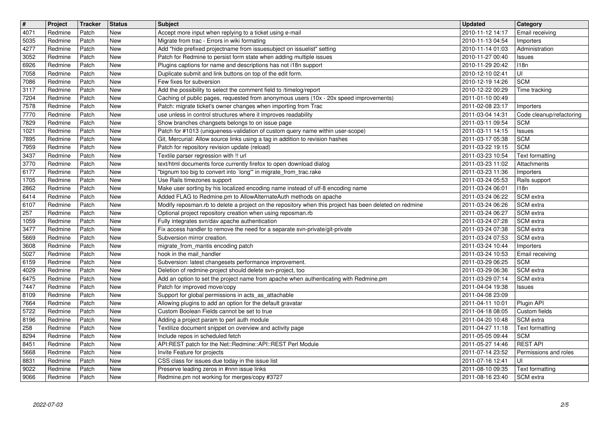| $\boxed{\texttt{#}}$  | Project            | Tracker        | <b>Status</b>            | Subject                                                                                                                                                               | <b>Updated</b>                       | <b>Category</b>                              |
|-----------------------|--------------------|----------------|--------------------------|-----------------------------------------------------------------------------------------------------------------------------------------------------------------------|--------------------------------------|----------------------------------------------|
| $\sqrt{4071}$<br>5035 | Redmine<br>Redmine | Patch<br>Patch | New<br><b>New</b>        | Accept more input when replying to a ticket using e-mail<br>Migrate from trac - Errors in wiki formating                                                              | 2010-11-12 14:17<br>2010-11-13 04:54 | Email receiving<br>Importers                 |
| 4277                  | Redmine            | Patch          | <b>New</b>               | Add "hide prefixed projectname from issuesubject on issuelist" setting                                                                                                | 2010-11-14 01:03                     | Administration                               |
| 3052<br>6926          | Redmine<br>Redmine | Patch<br>Patch | <b>New</b><br>New        | Patch for Redmine to persist form state when adding multiple issues<br>Plugins captions for name and descriptions has not i18n support                                | 2010-11-27 00:40<br>2010-11-29 20:42 | Issues<br>118n                               |
| 7058                  | Redmine            | Patch          | <b>New</b>               | Duplicate submit and link buttons on top of the edit form.                                                                                                            | 2010-12-10 02:41                     | l UI-                                        |
| 7086<br>3117          | Redmine<br>Redmine | Patch<br>Patch | <b>New</b><br><b>New</b> | Few fixes for subversion<br>Add the possibility to select the comment field to /timelog/report                                                                        | 2010-12-19 14:26<br>2010-12-22 00:29 | <b>SCM</b><br>Time tracking                  |
| 7204                  | Redmine            | Patch          | <b>New</b>               | Caching of public pages, requested from anonymous users (10x - 20x speed improvements)                                                                                | 2011-01-10 00:49                     |                                              |
| 7578<br>7770          | Redmine<br>Redmine | Patch<br>Patch | New<br><b>New</b>        | Patch: migrate ticket's owner changes when importing from Trac<br>use unless in control structures where it improves readability                                      | 2011-02-08 23:17<br>2011-03-04 14:31 | <b>Importers</b><br>Code cleanup/refactoring |
| 7829                  | Redmine            | Patch          | <b>New</b>               | Show branches changsets belongs to on issue page                                                                                                                      | 2011-03-11 09:54                     | <b>SCM</b>                                   |
| 1021<br>7895          | Redmine<br>Redmine | Patch<br>Patch | <b>New</b><br><b>New</b> | Patch for #1013 (uniqueness-validation of custom query name within user-scope)<br>Git, Mercurial: Allow source links using a tag in addition to revision hashes       | 2011-03-11 14:15<br>2011-03-17 05:38 | Issues<br><b>SCM</b>                         |
| 7959                  | Redmine            | Patch          | <b>New</b>               | Patch for repository revision update (reload)                                                                                                                         | 2011-03-22 19:15                     | <b>SCM</b>                                   |
| 3437<br>3770          | Redmine<br>Redmine | Patch<br>Patch | <b>New</b><br><b>New</b> | Textile parser regression with !! url<br>text/html documents force currently firefox to open download dialog                                                          | 2011-03-23 10:54<br>2011-03-23 11:02 | Text formatting<br>Attachments               |
| 6177                  | Redmine            | Patch          | <b>New</b>               | "bignum too big to convert into `long'" in migrate_from_trac.rake                                                                                                     | 2011-03-23 11:36                     | Importers                                    |
| 1705<br>2862          | Redmine<br>Redmine | Patch<br>Patch | <b>New</b><br><b>New</b> | Use Rails timezones support<br>Make user sorting by his localized encoding name instead of utf-8 encoding name                                                        | 2011-03-24 05:53<br>2011-03-24 06:01 | Rails support<br>118n                        |
| 6414                  | Redmine            | Patch          | <b>New</b>               | Added FLAG to Redmine.pm to AllowAlternateAuth methods on apache                                                                                                      | 2011-03-24 06:22                     | SCM extra                                    |
| 6107<br>$\sqrt{257}$  | Redmine<br>Redmine | Patch<br>Patch | <b>New</b><br><b>New</b> | Modify reposman.rb to delete a project on the repository when this project has been deleted on redmine<br>Optional project repository creation when using reposman.rb | 2011-03-24 06:26<br>2011-03-24 06:27 | SCM extra<br>SCM extra                       |
| 1059                  | Redmine            | Patch          | <b>New</b>               | Fully integrates svn/dav apache authentication                                                                                                                        | 2011-03-24 07:28                     | SCM extra                                    |
| 3477<br>5669          | Redmine<br>Redmine | Patch<br>Patch | New<br><b>New</b>        | Fix access handler to remove the need for a separate svn-private/git-private<br>Subversion mirror creation.                                                           | 2011-03-24 07:38<br>2011-03-24 07:53 | SCM extra<br>SCM extra                       |
| 3608                  | Redmine            | Patch          | <b>New</b>               | migrate_from_mantis encoding patch                                                                                                                                    | 2011-03-24 10:44                     | Importers                                    |
| 5027<br>6159          | Redmine<br>Redmine | Patch<br>Patch | <b>New</b><br><b>New</b> | hook in the mail handler<br>Subversion: latest changesets performance improvement.                                                                                    | 2011-03-24 10:53<br>2011-03-29 06:25 | Email receiving<br><b>SCM</b>                |
| 4029                  | Redmine            | Patch          | <b>New</b>               | Deletion of redmine-project should delete svn-project, too                                                                                                            | 2011-03-29 06:36                     | SCM extra                                    |
| 6475                  | Redmine            | Patch          | <b>New</b>               | Add an option to set the project name from apache when authenticating with Redmine.pm                                                                                 | 2011-03-29 07:14                     | SCM extra                                    |
| 7447<br>8109          | Redmine<br>Redmine | Patch<br>Patch | <b>New</b><br>New        | Patch for improved move/copy<br>Support for global permissions in acts_as_attachable                                                                                  | 2011-04-04 19:38<br>2011-04-08 23:09 | Issues                                       |
| 7664                  | Redmine            | Patch          | <b>New</b>               | Allowing plugins to add an option for the default gravatar                                                                                                            | 2011-04-11 10:01                     | Plugin API                                   |
| 5722<br>8196          | Redmine<br>Redmine | Patch<br>Patch | <b>New</b><br><b>New</b> | Custom Boolean Fields cannot be set to true<br>Adding a project param to perl auth module                                                                             | 2011-04-18 08:05<br>2011-04-20 10:48 | Custom fields<br>SCM extra                   |
| 258                   | Redmine            | Patch          | <b>New</b>               | Textilize document snippet on overview and activity page                                                                                                              | 2011-04-27 11:18                     | Text formatting                              |
| 8294<br>$8451$        | Redmine<br>Redmine | Patch<br>Patch | New<br>New               | Include repos in scheduled fetch<br>API:REST patch for the Net::Redmine::API::REST Perl Module                                                                        | 2011-05-05 09:44<br>2011-05-27 14:46 | <b>SCM</b><br><b>REST API</b>                |
| 5668                  | Redmine            | Patch          | <b>New</b>               | Invite Feature for projects                                                                                                                                           | 2011-07-14 23:52                     | Permissions and roles                        |
| 8831<br>9022          | Redmine<br>Redmine | Patch<br>Patch | New<br>New               | CSS class for issues due today in the issue list<br>Preserve leading zeros in #nnn issue links                                                                        | 2011-07-16 12:41<br>2011-08-10 09:35 | l Ul<br>Text formatting                      |
| 9066                  | Redmine            | Patch          | New                      | Redmine.pm not working for merges/copy #3727                                                                                                                          | 2011-08-16 23:40                     | SCM extra                                    |
|                       |                    |                |                          |                                                                                                                                                                       |                                      |                                              |
|                       |                    |                |                          |                                                                                                                                                                       |                                      |                                              |
|                       |                    |                |                          |                                                                                                                                                                       |                                      |                                              |
|                       |                    |                |                          |                                                                                                                                                                       |                                      |                                              |
|                       |                    |                |                          |                                                                                                                                                                       |                                      |                                              |
|                       |                    |                |                          |                                                                                                                                                                       |                                      |                                              |
|                       |                    |                |                          |                                                                                                                                                                       |                                      |                                              |
|                       |                    |                |                          |                                                                                                                                                                       |                                      |                                              |
|                       |                    |                |                          |                                                                                                                                                                       |                                      |                                              |
|                       |                    |                |                          |                                                                                                                                                                       |                                      |                                              |
|                       |                    |                |                          |                                                                                                                                                                       |                                      |                                              |
|                       |                    |                |                          |                                                                                                                                                                       |                                      |                                              |
|                       |                    |                |                          |                                                                                                                                                                       |                                      |                                              |
|                       |                    |                |                          |                                                                                                                                                                       |                                      |                                              |
|                       |                    |                |                          |                                                                                                                                                                       |                                      |                                              |
|                       |                    |                |                          |                                                                                                                                                                       |                                      |                                              |
|                       |                    |                |                          |                                                                                                                                                                       |                                      |                                              |
|                       |                    |                |                          |                                                                                                                                                                       |                                      |                                              |
|                       |                    |                |                          |                                                                                                                                                                       |                                      |                                              |
|                       |                    |                |                          |                                                                                                                                                                       |                                      |                                              |
|                       |                    |                |                          |                                                                                                                                                                       |                                      |                                              |
|                       |                    |                |                          |                                                                                                                                                                       |                                      |                                              |
|                       |                    |                |                          |                                                                                                                                                                       |                                      |                                              |
|                       |                    |                |                          |                                                                                                                                                                       |                                      |                                              |
|                       |                    |                |                          |                                                                                                                                                                       |                                      |                                              |
|                       |                    |                |                          |                                                                                                                                                                       |                                      |                                              |
|                       |                    |                |                          |                                                                                                                                                                       |                                      |                                              |
|                       |                    |                |                          |                                                                                                                                                                       |                                      |                                              |
|                       |                    |                |                          |                                                                                                                                                                       |                                      |                                              |
|                       |                    |                |                          |                                                                                                                                                                       |                                      |                                              |
|                       |                    |                |                          |                                                                                                                                                                       |                                      |                                              |
|                       |                    |                |                          |                                                                                                                                                                       |                                      |                                              |
|                       |                    |                |                          |                                                                                                                                                                       |                                      |                                              |
|                       |                    |                |                          |                                                                                                                                                                       |                                      |                                              |
|                       |                    |                |                          |                                                                                                                                                                       |                                      |                                              |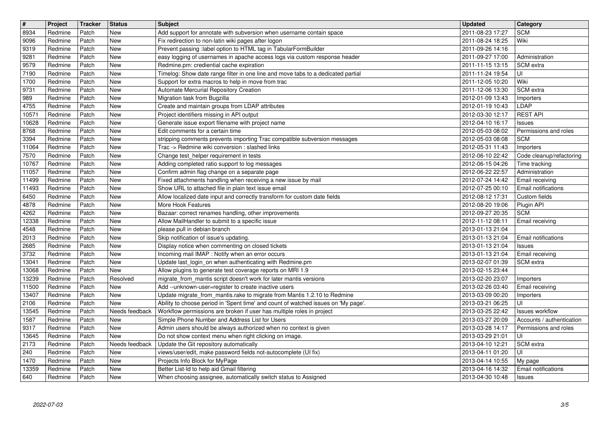| $\overline{\mathbf{t}}$ | Project            | Tracker        | <b>Status</b>   | <b>Subject</b>                                                                                                                                                 | <b>Updated</b>                       | <b>Category</b>                                    |
|-------------------------|--------------------|----------------|-----------------|----------------------------------------------------------------------------------------------------------------------------------------------------------------|--------------------------------------|----------------------------------------------------|
| 8934<br>9096            | Redmine<br>Redmine | Patch<br>Patch | New<br>New      | Add support for annotate with subversion when username contain space<br>Fix redirection to non-latin wiki pages after logon                                    | 2011-08-23 17:27<br>2011-08-24 18:25 | <b>SCM</b><br>Wiki                                 |
| 9319                    | Redmine            | Patch          | New             | Prevent passing :label option to HTML tag in TabularFormBuilder                                                                                                | 2011-09-26 14:16                     |                                                    |
| 9281<br>9579            | Redmine<br>Redmine | Patch<br>Patch | New<br>New      | easy logging of usernames in apache access logs via custom response header<br>Redmine.pm: crediential cache expiration                                         | 2011-09-27 17:00<br>2011-11-15 13:15 | Administration<br>l SCM extra                      |
| 7190                    | Redmine            | Patch          | New             | Timelog: Show date range filter in one line and move tabs to a dedicated partial                                                                               | 2011-11-24 19:54                     | luı                                                |
| 1700<br>9731            | Redmine<br>Redmine | Patch<br>Patch | New<br>New      | Support for extra macros to help in move from trac<br>Automate Mercurial Repository Creation                                                                   | 2011-12-05 10:20<br>2011-12-06 13:30 | Wiki<br>SCM extra                                  |
| 989                     | Redmine            | Patch          | New             | Migration task from Bugzilla                                                                                                                                   | 2012-01-09 13:43                     | Importers                                          |
| 4755<br>10571           | Redmine<br>Redmine | Patch<br>Patch | New<br>New      | Create and maintain groups from LDAP attributes<br>Project identifiers missing in API output                                                                   | 2012-01-19 10:43<br>2012-03-30 12:17 | LDAP<br><b>REST API</b>                            |
| 10628                   | Redmine            | Patch          | New             | Generate issue export filename with project name                                                                                                               | 2012-04-10 16:17                     | Issues                                             |
| 8768<br>3394            | Redmine<br>Redmine | Patch<br>Patch | New<br>New      | Edit comments for a certain time<br>stripping comments prevents importing Trac compatible subversion messages                                                  | 2012-05-03 08:02<br>2012-05-03 08:08 | Permissions and roles<br><b>SCM</b>                |
| 11064<br>7570           | Redmine<br>Redmine | Patch<br>Patch | New<br>New      | Trac -> Redmine wiki conversion : slashed links<br>Change test_helper requirement in tests                                                                     | 2012-05-31 11:43<br>2012-06-10 22:42 | Importers<br>Code cleanup/refactoring              |
| 10767                   | Redmine            | Patch          | New             | Adding completed ratio support to log messages                                                                                                                 | 2012-06-15 04:26                     | Time tracking                                      |
| 11057<br>11499          | Redmine<br>Redmine | Patch<br>Patch | New<br>New      | Confirm admin flag change on a separate page<br>Fixed attachments handling when receiving a new issue by mail                                                  | 2012-06-22 22:57<br>2012-07-24 14:42 | Administration<br>Email receiving                  |
| 11493                   | Redmine            | Patch          | New             | Show URL to attached file in plain text issue email                                                                                                            | 2012-07-25 00:10                     | <b>Email notifications</b>                         |
| 6450<br>4878            | Redmine<br>Redmine | Patch<br>Patch | New<br>New      | Allow localized date input and correctly transform for custom date fields<br>More Hook Features                                                                | 2012-08-12 17:31<br>2012-08-20 19:06 | Custom fields<br>Plugin API                        |
| 4262                    | Redmine            | Patch          | New             | Bazaar: correct renames handling, other improvements                                                                                                           | 2012-09-27 20:35                     | SCM                                                |
| 12338<br>4548           | Redmine<br>Redmine | Patch<br>Patch | New<br>New      | Allow MailHandler to submit to a specific issue<br>please pull in debian branch                                                                                | 2012-11-12 08:11<br>2013-01-13 21:04 | Email receiving                                    |
| 2013                    | Redmine            | Patch          | New             | Skip notification of issue's updating.                                                                                                                         | 2013-01-13 21:04                     | Email notifications                                |
| 2685<br>3732            | Redmine<br>Redmine | Patch<br>Patch | New<br>New      | Display notice when commenting on closed tickets<br>Incoming mail IMAP : Notify when an error occurs                                                           | 2013-01-13 21:04<br>2013-01-13 21:04 | Issues<br>Email receiving                          |
| 13041                   | Redmine            | Patch          | New             | Update last_login_on when authenticating with Redmine.pm                                                                                                       | 2013-02-07 01:39                     | SCM extra                                          |
| 13068<br>13239          | Redmine<br>Redmine | Patch<br>Patch | New<br>Resolved | Allow plugins to generate test coverage reports on MRI 1.9<br>migrate_from_mantis script doesn't work for later mantis versions                                | 2013-02-15 23:44<br>2013-02-20 23:07 | Importers                                          |
| 11500                   | Redmine            | Patch          | New             | Add --unknown-user=register to create inactive users                                                                                                           | 2013-02-26 03:40                     | Email receiving                                    |
| 13407<br>2106           | Redmine<br>Redmine | Patch<br>Patch | New<br>New      | Update migrate_from_mantis.rake to migrate from Mantis 1.2.10 to Redmine<br>Ability to choose period in 'Spent time' and count of watched issues on 'My page'. | 2013-03-09 00:20<br>2013-03-21 06:25 | Importers<br>UI                                    |
| 13545                   | Redmine            | Patch          | Needs feedback  | Workflow permissions are broken if user has multiple roles in project                                                                                          | 2013-03-25 22:42                     | <b>Issues workflow</b>                             |
| 1587<br>9317            | Redmine<br>Redmine | Patch<br>Patch | New<br>New      | Simple Phone Number and Address List for Users<br>Admin users should be always authorized when no context is given                                             | 2013-03-27 20:09<br>2013-03-28 14:17 | Accounts / authentication<br>Permissions and roles |
| 13645                   | Redmine            | Patch          | New             | Do not show context menu when right clicking on image.                                                                                                         | 2013-03-29 21:01                     | l UI                                               |
| 2173<br>240             | Redmine<br>Redmine | Patch<br>Patch | New             | Needs feedback Update the Git repository automatically<br>views/user/edit, make password fields not-autocomplete (UI fix)                                      | 2013-04-10 12:21<br>2013-04-11 01:20 | SCM extra<br>lui                                   |
| 1470                    | Redmine            | Patch<br>Patch | New             | Projects Info Block for MyPage                                                                                                                                 | 2013-04-14 10:55                     | My page                                            |
| 13359<br>640            | Redmine<br>Redmine | Patch          | New<br>New      | Better List-Id to help aid Gmail filtering<br>When choosing assignee, automatically switch status to Assigned                                                  | 2013-04-16 14:32<br>2013-04-30 10:48 | Email notifications<br>Issues                      |
|                         |                    |                |                 |                                                                                                                                                                |                                      |                                                    |
|                         |                    |                |                 |                                                                                                                                                                |                                      |                                                    |
|                         |                    |                |                 |                                                                                                                                                                |                                      |                                                    |
|                         |                    |                |                 |                                                                                                                                                                |                                      |                                                    |
|                         |                    |                |                 |                                                                                                                                                                |                                      |                                                    |
|                         |                    |                |                 |                                                                                                                                                                |                                      |                                                    |
|                         |                    |                |                 |                                                                                                                                                                |                                      |                                                    |
|                         |                    |                |                 |                                                                                                                                                                |                                      |                                                    |
|                         |                    |                |                 |                                                                                                                                                                |                                      |                                                    |
|                         |                    |                |                 |                                                                                                                                                                |                                      |                                                    |
|                         |                    |                |                 |                                                                                                                                                                |                                      |                                                    |
|                         |                    |                |                 |                                                                                                                                                                |                                      |                                                    |
|                         |                    |                |                 |                                                                                                                                                                |                                      |                                                    |
|                         |                    |                |                 |                                                                                                                                                                |                                      |                                                    |
|                         |                    |                |                 |                                                                                                                                                                |                                      |                                                    |
|                         |                    |                |                 |                                                                                                                                                                |                                      |                                                    |
|                         |                    |                |                 |                                                                                                                                                                |                                      |                                                    |
|                         |                    |                |                 |                                                                                                                                                                |                                      |                                                    |
|                         |                    |                |                 |                                                                                                                                                                |                                      |                                                    |
|                         |                    |                |                 |                                                                                                                                                                |                                      |                                                    |
|                         |                    |                |                 |                                                                                                                                                                |                                      |                                                    |
|                         |                    |                |                 |                                                                                                                                                                |                                      |                                                    |
|                         |                    |                |                 |                                                                                                                                                                |                                      |                                                    |
|                         |                    |                |                 |                                                                                                                                                                |                                      |                                                    |
|                         |                    |                |                 |                                                                                                                                                                |                                      |                                                    |
|                         |                    |                |                 |                                                                                                                                                                |                                      |                                                    |
|                         |                    |                |                 |                                                                                                                                                                |                                      |                                                    |
|                         |                    |                |                 |                                                                                                                                                                |                                      |                                                    |
|                         |                    |                |                 |                                                                                                                                                                |                                      |                                                    |
|                         |                    |                |                 |                                                                                                                                                                |                                      |                                                    |
|                         |                    |                |                 |                                                                                                                                                                |                                      |                                                    |
|                         |                    |                |                 |                                                                                                                                                                |                                      |                                                    |
|                         |                    |                |                 |                                                                                                                                                                |                                      |                                                    |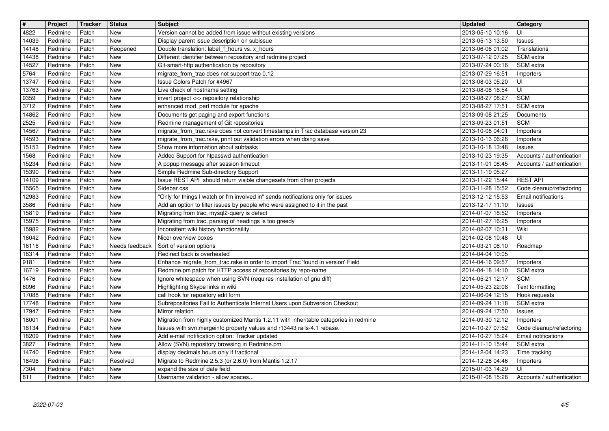| $\boxed{\texttt{#}}$ | Project            | <b>Tracker</b> | <b>Status</b>                | <b>Subject</b>                                                                                                                        | <b>Updated</b>                       | Category                                   |
|----------------------|--------------------|----------------|------------------------------|---------------------------------------------------------------------------------------------------------------------------------------|--------------------------------------|--------------------------------------------|
| 4822                 | Redmine            | Patch          | <b>New</b>                   | Version cannot be added from issue without existing versions                                                                          | 2013-05-10 10:16                     | UI                                         |
| 14039<br>14148       | Redmine<br>Redmine | Patch<br>Patch | <b>New</b><br>Reopened       | Display parent issue description on subissue<br>Double translation: label_f_hours vs. x_hours                                         | 2013-05-13 13:50<br>2013-06-06 01:02 | <b>Issues</b><br>Translations              |
| 14438                | Redmine            | Patch          | <b>New</b>                   | Different identifier between repository and redmine project                                                                           | 2013-07-12 07:25                     | l SCM extra                                |
| 14527                | Redmine            | Patch          | <b>New</b>                   | Git-smart-http authentication by repository                                                                                           | 2013-07-24 00:16                     | SCM extra                                  |
| 5764                 | Redmine            | Patch          | <b>New</b><br><b>New</b>     | migrate_from_trac does not support trac 0.12<br>Issue Colors Patch for #4967                                                          | 2013-07-29 16:51                     | Importers                                  |
| 13747<br>13763       | Redmine<br>Redmine | Patch<br>Patch | <b>New</b>                   | Live check of hostname setting                                                                                                        | 2013-08-03 05:20<br>2013-08-08 16:54 | UI<br>UI                                   |
| 9359                 | Redmine            | Patch          | <b>New</b>                   | invert project <-> repository relationship                                                                                            | 2013-08-27 08:27                     | <b>SCM</b>                                 |
| 3712                 | Redmine            | Patch          | <b>New</b>                   | enhanced mod_perl module for apache                                                                                                   | 2013-08-27 17:51                     | <b>SCM</b> extra                           |
| 14862<br>2525        | Redmine<br>Redmine | Patch<br>Patch | <b>New</b><br><b>New</b>     | Documents get paging and export functions<br>Redmine management of Git repositories                                                   | 2013-09-08 21:25<br>2013-09-23 01:51 | Documents<br><b>SCM</b>                    |
| 14567                | Redmine            | Patch          | <b>New</b>                   | migrate_from_trac.rake does not convert timestamps in Trac database version 23                                                        | 2013-10-08 04:01                     | Importers                                  |
| 14593                | Redmine            | Patch<br>Patch | <b>New</b><br><b>New</b>     | migrate_from_trac.rake, print out validation errors when doing save                                                                   | 2013-10-13 06:28                     | Importers                                  |
| 15153<br>1568        | Redmine<br>Redmine | Patch          | <b>New</b>                   | Show more information about subtasks<br>Added Support for htpasswd authentication                                                     | 2013-10-18 13:48<br>2013-10-23 19:35 | <b>Issues</b><br>Accounts / authentication |
| 15234                | Redmine            | Patch          | <b>New</b>                   | A popup message after session timeout                                                                                                 | 2013-11-01 08:45                     | Accounts / authentication                  |
| 15390<br>14109       | Redmine<br>Redmine | Patch<br>Patch | <b>New</b><br><b>New</b>     | Simple Redmine Sub-directory Support<br>Issue REST API should return visible changesets from other projects                           | 2013-11-19 05:27<br>2013-11-22 15:44 | <b>REST API</b>                            |
| 15565                | Redmine            | Patch          | <b>New</b>                   | Sidebar css                                                                                                                           | 2013-11-28 15:52                     | Code cleanup/refactoring                   |
| 12983                | Redmine            | Patch          | <b>New</b>                   | "Only for things I watch or I'm involved in" sends notifications only for issues                                                      | 2013-12-12 15:53                     | <b>Email notifications</b>                 |
| 3586<br>15819        | Redmine<br>Redmine | Patch<br>Patch | <b>New</b><br><b>New</b>     | Add an option to filter issues by people who were assigned to it in the past<br>Migrating from trac, mysql2-query is defect           | 2013-12-17 11:10<br>2014-01-07 18:52 | <b>Issues</b><br>Importers                 |
| 15975                | Redmine            | Patch          | <b>New</b>                   | Migrating from trac, parsing of headings is too greedy                                                                                | 2014-01-27 16:25                     | Importers                                  |
| 15982                | Redmine            | Patch          | <b>New</b>                   | Inconsitent wiki history functionaility                                                                                               | 2014-02-07 10:31                     | Wiki                                       |
| 16042<br>16116       | Redmine<br>Redmine | Patch<br>Patch | <b>New</b><br>Needs feedback | Nicer overview boxes<br>Sort of version options                                                                                       | 2014-02-08 10:48<br>2014-03-21 08:10 | UI<br>Roadmap                              |
| 16314                | Redmine            | Patch          | <b>New</b>                   | Redirect back is overheated                                                                                                           | 2014-04-04 10:05                     |                                            |
| 9181                 | Redmine            | Patch          | <b>New</b>                   | Enhance migrate_from_trac.rake in order to import Trac 'found in version' Field                                                       | 2014-04-16 09:57                     | Importers                                  |
| 16719<br>1476        | Redmine<br>Redmine | Patch<br>Patch | <b>New</b><br><b>New</b>     | Redmine.pm patch for HTTP access of repositories by repo-name<br>Ignore whitespace when using SVN (requires installation of gnu diff) | 2014-04-18 14:10<br>2014-05-21 12:17 | SCM extra<br><b>SCM</b>                    |
| 6096                 | Redmine            | Patch          | <b>New</b>                   | Highlighting Skype links in wiki                                                                                                      | 2014-05-23 22:08                     | Text formatting                            |
| 17088                | Redmine            | Patch          | <b>New</b>                   | call hook for repository edit form                                                                                                    | 2014-06-04 12:15                     | Hook requests                              |
| 17748<br>17947       | Redmine<br>Redmine | Patch<br>Patch | <b>New</b><br><b>New</b>     | Subrepositories Fail to Authenticate Internal Users upon Subversion Checkout<br>Mirror relation                                       | 2014-09-24 11:18<br>2014-09-24 17:50 | SCM extra<br>Issues                        |
| 18001                | Redmine            | Patch          | <b>New</b>                   | Migration from highly customized Mantis 1.2.11 with inheritable categories in redmine                                                 | 2014-09-30 12:12                     | Importers                                  |
| 18134                | Redmine            | Patch          | <b>New</b>                   | Issues with svn:mergeinfo property values and r13443 rails-4.1 rebase.                                                                | 2014-10-27 07:52                     | Code cleanup/refactoring                   |
| 18209<br>3827        | Redmine<br>Redmine | Patch<br>Patch | <b>New</b><br>New            | Add e-mail notification option: Tracker updated<br>Allow (SVN) repository browsing in Redmine.pm                                      | 2014-10-27 15:24<br>2014-11-10 15:44 | <b>Email notifications</b><br>SCM extra    |
| 14740                | Redmine            | Patch          | New                          | display decimals hours only if fractional                                                                                             | 2014-12-04 14:23                     | Time tracking                              |
| 18496                | Redmine            | Patch          | Resolved                     | Migrate to Redmine 2.5.3 (or 2.6.0) from Mantis 1.2.17                                                                                | 2014-12-28 04:46                     | Importers                                  |
| 7304<br>811          | Redmine<br>Redmine | Patch<br>Patch | <b>New</b><br>New            | expand the size of date field<br>Username validation - allow spaces                                                                   | 2015-01-03 14:29<br>2015-01-08 15:28 | UI<br>Accounts / authentication            |
|                      |                    |                |                              |                                                                                                                                       |                                      |                                            |
|                      |                    |                |                              |                                                                                                                                       |                                      |                                            |
|                      |                    |                |                              |                                                                                                                                       |                                      |                                            |
|                      |                    |                |                              |                                                                                                                                       |                                      |                                            |
|                      |                    |                |                              |                                                                                                                                       |                                      |                                            |
|                      |                    |                |                              |                                                                                                                                       |                                      |                                            |
|                      |                    |                |                              |                                                                                                                                       |                                      |                                            |
|                      |                    |                |                              |                                                                                                                                       |                                      |                                            |
|                      |                    |                |                              |                                                                                                                                       |                                      |                                            |
|                      |                    |                |                              |                                                                                                                                       |                                      |                                            |
|                      |                    |                |                              |                                                                                                                                       |                                      |                                            |
|                      |                    |                |                              |                                                                                                                                       |                                      |                                            |
|                      |                    |                |                              |                                                                                                                                       |                                      |                                            |
|                      |                    |                |                              |                                                                                                                                       |                                      |                                            |
|                      |                    |                |                              |                                                                                                                                       |                                      |                                            |